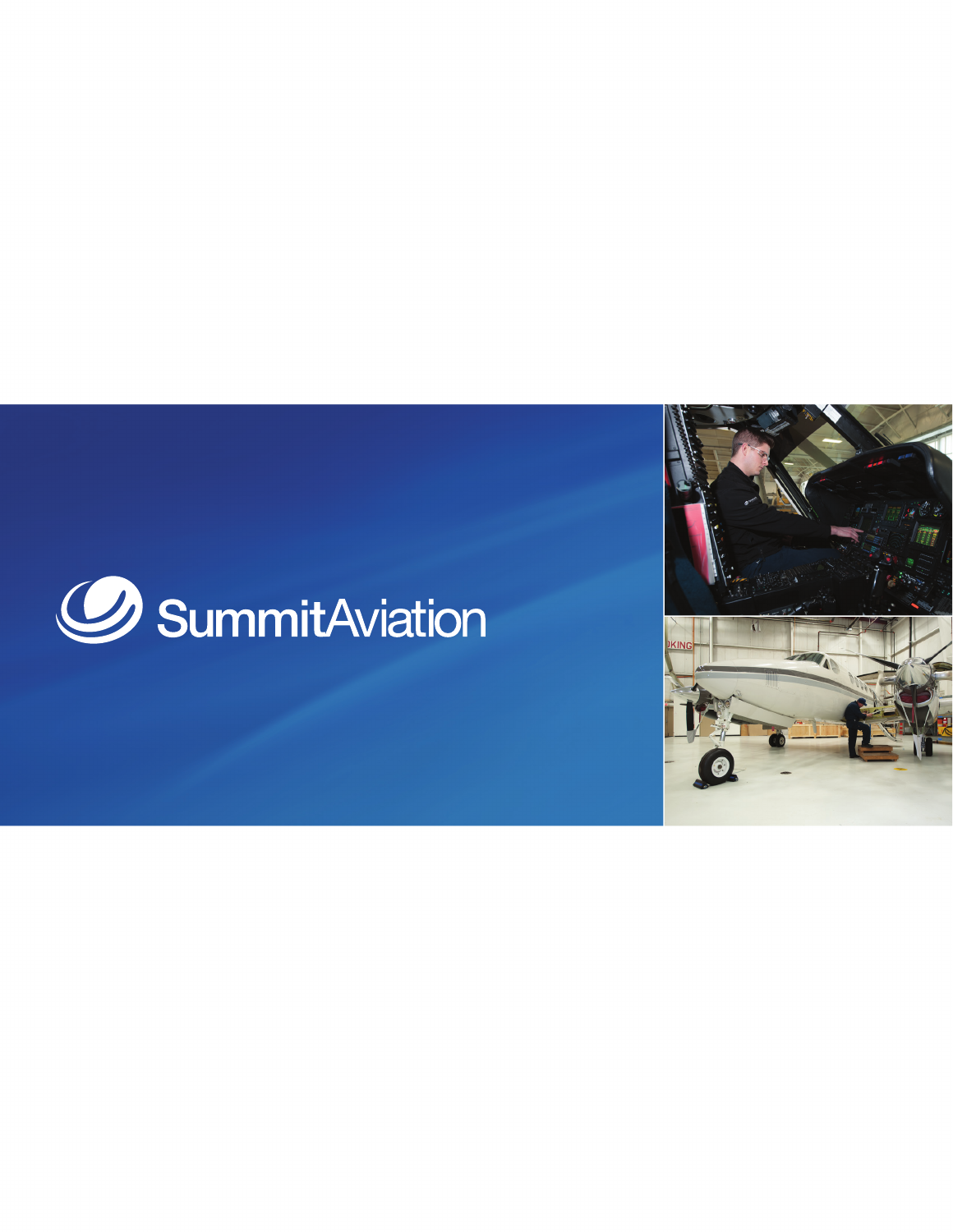